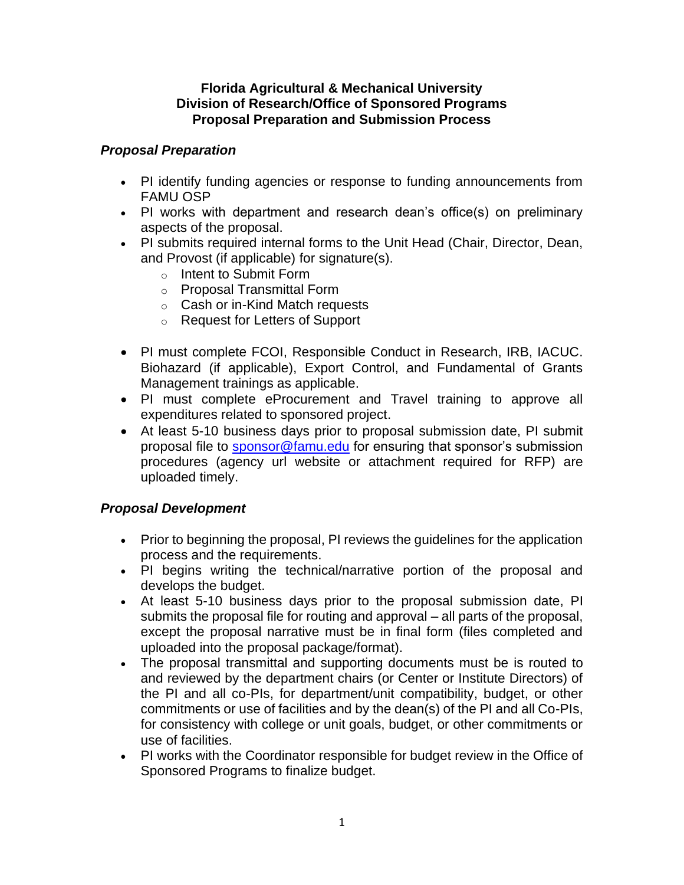#### **Florida Agricultural & Mechanical University Division of Research/Office of Sponsored Programs Proposal Preparation and Submission Process**

# *Proposal Preparation*

- PI identify funding agencies or response to funding announcements from FAMU OSP
- PI works with department and research dean's office(s) on preliminary aspects of the proposal.
- PI submits required internal forms to the Unit Head (Chair, Director, Dean, and Provost (if applicable) for signature(s).
	- o Intent to Submit Form
	- o Proposal Transmittal Form
	- o Cash or in-Kind Match requests
	- o Request for Letters of Support
- PI must complete FCOI, Responsible Conduct in Research, IRB, IACUC. Biohazard (if applicable), Export Control, and Fundamental of Grants Management trainings as applicable.
- PI must complete eProcurement and Travel training to approve all expenditures related to sponsored project.
- At least 5-10 business days prior to proposal submission date, PI submit proposal file to [sponsor@famu.edu](mailto:sponsor@famu.edu) for ensuring that sponsor's submission procedures (agency url website or attachment required for RFP) are uploaded timely.

# *Proposal Development*

- Prior to beginning the proposal, PI reviews the guidelines for the application process and the requirements.
- PI begins writing the technical/narrative portion of the proposal and develops the budget.
- At least 5-10 business days prior to the proposal submission date, PI submits the proposal file for routing and approval – all parts of the proposal, except the proposal narrative must be in final form (files completed and uploaded into the proposal package/format).
- The proposal transmittal and supporting documents must be is routed to and reviewed by the department chairs (or Center or Institute Directors) of the PI and all co-PIs, for department/unit compatibility, budget, or other commitments or use of facilities and by the dean(s) of the PI and all Co-PIs, for consistency with college or unit goals, budget, or other commitments or use of facilities.
- PI works with the Coordinator responsible for budget review in the Office of Sponsored Programs to finalize budget.